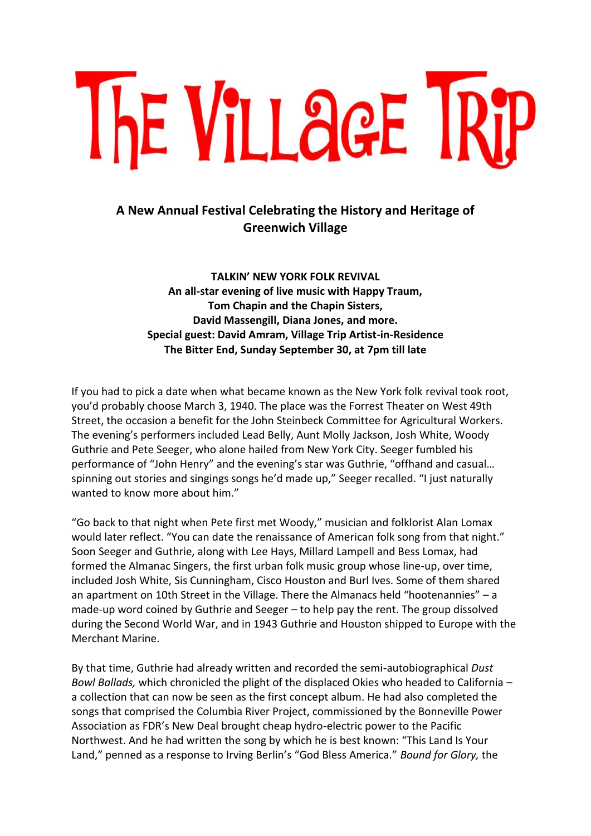

## **A New Annual Festival Celebrating the History and Heritage of Greenwich Village**

**TALKIN' NEW YORK FOLK REVIVAL An all-star evening of live music with Happy Traum, Tom Chapin and the Chapin Sisters, David Massengill, Diana Jones, and more. Special guest: David Amram, Village Trip Artist-in-Residence The Bitter End, Sunday September 30, at 7pm till late**

If you had to pick a date when what became known as the New York folk revival took root, you'd probably choose March 3, 1940. The place was the Forrest Theater on West 49th Street, the occasion a benefit for the John Steinbeck Committee for Agricultural Workers. The evening's performers included Lead Belly, Aunt Molly Jackson, Josh White, Woody Guthrie and Pete Seeger, who alone hailed from New York City. Seeger fumbled his performance of "John Henry" and the evening's star was Guthrie, "offhand and casual… spinning out stories and singings songs he'd made up," Seeger recalled. "I just naturally wanted to know more about him."

"Go back to that night when Pete first met Woody," musician and folklorist Alan Lomax would later reflect. "You can date the renaissance of American folk song from that night." Soon Seeger and Guthrie, along with Lee Hays, Millard Lampell and Bess Lomax, had formed the Almanac Singers, the first urban folk music group whose line-up, over time, included Josh White, Sis Cunningham, Cisco Houston and Burl Ives. Some of them shared an apartment on 10th Street in the Village. There the Almanacs held "hootenannies" – a made-up word coined by Guthrie and Seeger – to help pay the rent. The group dissolved during the Second World War, and in 1943 Guthrie and Houston shipped to Europe with the Merchant Marine.

By that time, Guthrie had already written and recorded the semi-autobiographical *Dust Bowl Ballads,* which chronicled the plight of the displaced Okies who headed to California – a collection that can now be seen as the first concept album. He had also completed the songs that comprised the Columbia River Project, commissioned by the Bonneville Power Association as FDR's New Deal brought cheap hydro-electric power to the Pacific Northwest. And he had written the song by which he is best known: "This Land Is Your Land," penned as a response to Irving Berlin's "God Bless America." *Bound for Glory,* the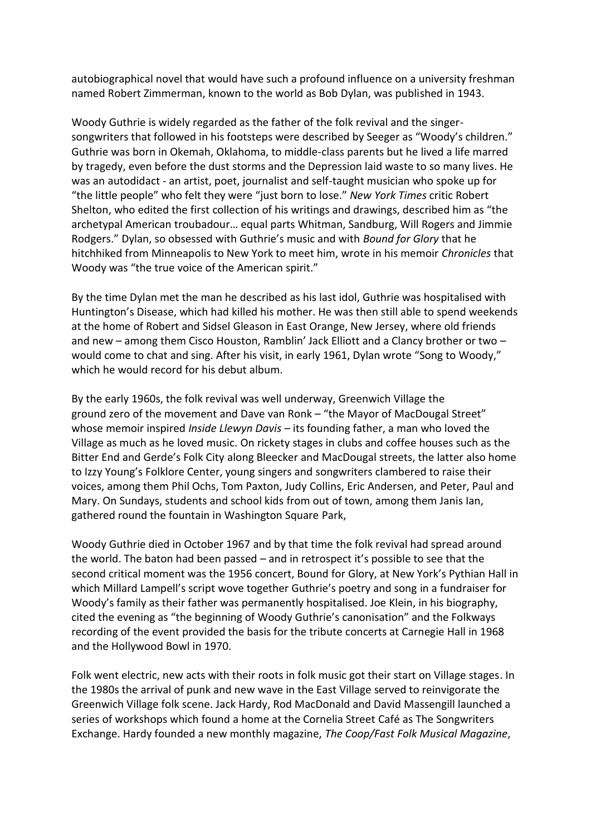autobiographical novel that would have such a profound influence on a university freshman named Robert Zimmerman, known to the world as Bob Dylan, was published in 1943.

Woody Guthrie is widely regarded as the father of the folk revival and the singersongwriters that followed in his footsteps were described by Seeger as "Woody's children." Guthrie was born in Okemah, Oklahoma, to middle-class parents but he lived a life marred by tragedy, even before the dust storms and the Depression laid waste to so many lives. He was an autodidact - an artist, poet, journalist and self-taught musician who spoke up for "the little people" who felt they were "just born to lose." *New York Times* critic Robert Shelton, who edited the first collection of his writings and drawings, described him as "the archetypal American troubadour… equal parts Whitman, Sandburg, Will Rogers and Jimmie Rodgers." Dylan, so obsessed with Guthrie's music and with *Bound for Glory* that he hitchhiked from Minneapolis to New York to meet him, wrote in his memoir *Chronicles* that Woody was "the true voice of the American spirit."

By the time Dylan met the man he described as his last idol, Guthrie was hospitalised with Huntington's Disease, which had killed his mother. He was then still able to spend weekends at the home of Robert and Sidsel Gleason in East Orange, New Jersey, where old friends and new – among them Cisco Houston, Ramblin' Jack Elliott and a Clancy brother or two – would come to chat and sing. After his visit, in early 1961, Dylan wrote "Song to Woody," which he would record for his debut album.

By the early 1960s, the folk revival was well underway, Greenwich Village the ground zero of the movement and Dave van Ronk – "the Mayor of MacDougal Street" whose memoir inspired *Inside Llewyn Davis* – its founding father, a man who loved the Village as much as he loved music. On rickety stages in clubs and coffee houses such as the Bitter End and Gerde's Folk City along Bleecker and MacDougal streets, the latter also home to Izzy Young's Folklore Center, young singers and songwriters clambered to raise their voices, among them Phil Ochs, Tom Paxton, Judy Collins, Eric Andersen, and Peter, Paul and Mary. On Sundays, students and school kids from out of town, among them Janis Ian, gathered round the fountain in Washington Square Park,

Woody Guthrie died in October 1967 and by that time the folk revival had spread around the world. The baton had been passed – and in retrospect it's possible to see that the second critical moment was the 1956 concert, Bound for Glory, at New York's Pythian Hall in which Millard Lampell's script wove together Guthrie's poetry and song in a fundraiser for Woody's family as their father was permanently hospitalised. Joe Klein, in his biography, cited the evening as "the beginning of Woody Guthrie's canonisation" and the Folkways recording of the event provided the basis for the tribute concerts at Carnegie Hall in 1968 and the Hollywood Bowl in 1970.

Folk went electric, new acts with their roots in folk music got their start on Village stages. In the 1980s the arrival of punk and new wave in the East Village served to reinvigorate the Greenwich Village folk scene. Jack Hardy, Rod MacDonald and David Massengill launched a series of workshops which found a home at the Cornelia Street Café as The Songwriters Exchange. Hardy founded a new monthly magazine, *The Coop/Fast Folk Musical Magazine*,